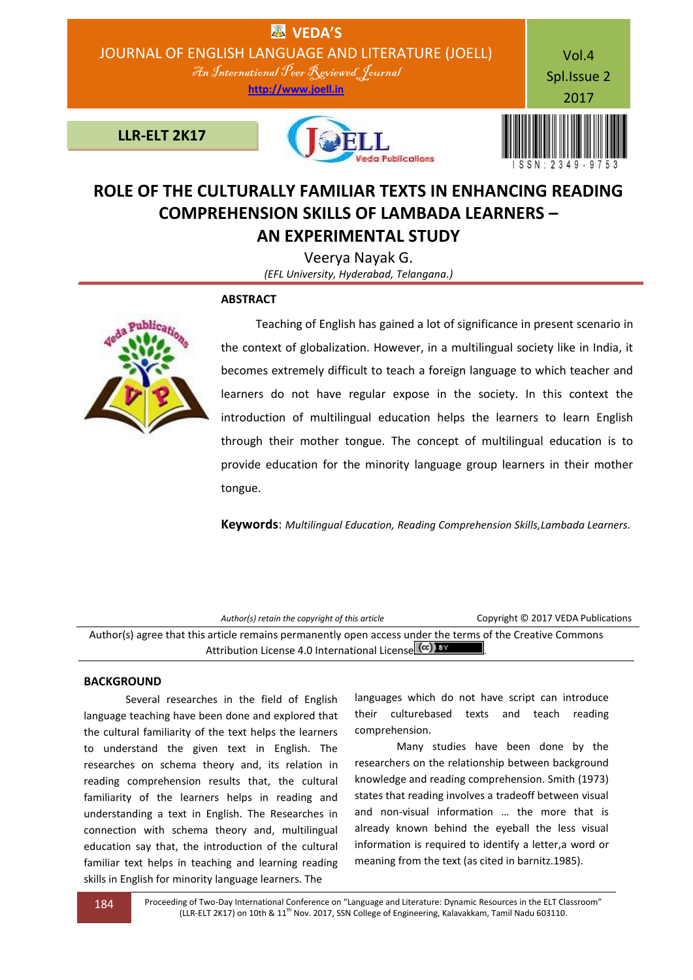

# **ROLE OF THE CULTURALLY FAMILIAR TEXTS IN ENHANCING READING COMPREHENSION SKILLS OF LAMBADA LEARNERS –**

**AN EXPERIMENTAL STUDY**

Veerya Nayak G. *(EFL University, Hyderabad, Telangana.)*

## **ABSTRACT**



 Teaching of English has gained a lot of significance in present scenario in the context of globalization. However, in a multilingual society like in India, it becomes extremely difficult to teach a foreign language to which teacher and learners do not have regular expose in the society. In this context the introduction of multilingual education helps the learners to learn English through their mother tongue. The concept of multilingual education is to provide education for the minority language group learners in their mother tongue.

**Keywords**: *Multilingual Education, Reading Comprehension Skills,Lambada Learners.*

*Author(s) retain the copyright of this article* Copyright © 2017 VEDA Publications Author(s) agree that this article remains permanently open access under the terms of the Creative Commons Attribution License 4.0 International License (cc) BY

## **BACKGROUND**

Several researches in the field of English language teaching have been done and explored that the cultural familiarity of the text helps the learners to understand the given text in English. The researches on schema theory and, its relation in reading comprehension results that, the cultural familiarity of the learners helps in reading and understanding a text in English. The Researches in connection with schema theory and, multilingual education say that, the introduction of the cultural familiar text helps in teaching and learning reading skills in English for minority language learners. The

languages which do not have script can introduce their culturebased texts and teach reading comprehension.

Many studies have been done by the researchers on the relationship between background knowledge and reading comprehension. Smith (1973) states that reading involves a tradeoff between visual and non-visual information … the more that is already known behind the eyeball the less visual information is required to identify a letter,a word or meaning from the text (as cited in barnitz.1985).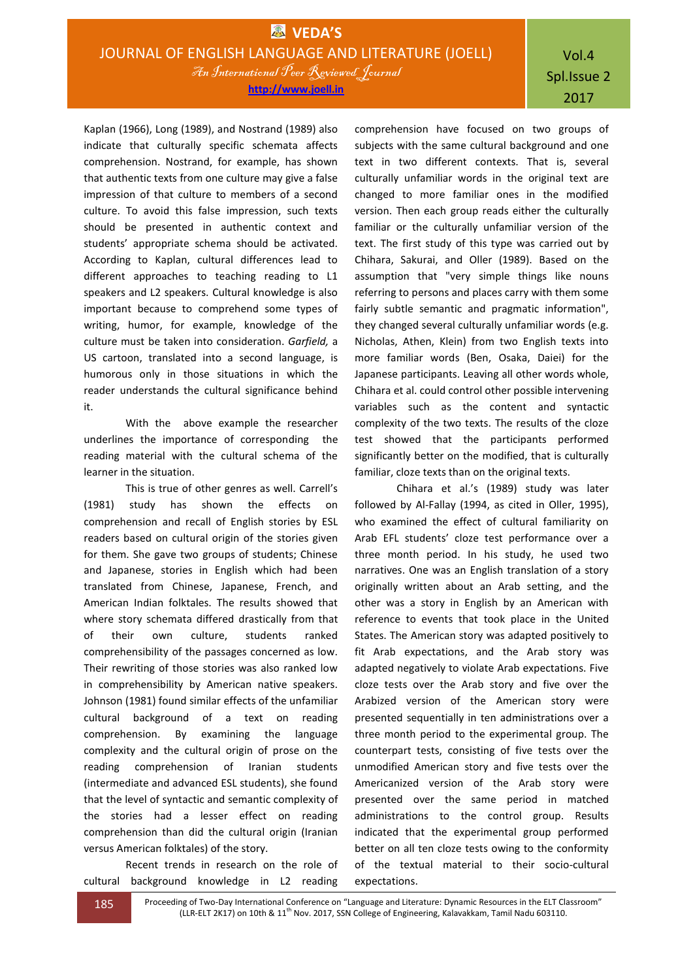Kaplan (1966), Long (1989), and Nostrand (1989) also indicate that culturally specific schemata affects comprehension. Nostrand, for example, has shown that authentic texts from one culture may give a false impression of that culture to members of a second culture. To avoid this false impression, such texts should be presented in authentic context and students' appropriate schema should be activated. According to Kaplan, cultural differences lead to different approaches to teaching reading to L1 speakers and L2 speakers. Cultural knowledge is also important because to comprehend some types of writing, humor, for example, knowledge of the culture must be taken into consideration. *Garfield,* a US cartoon, translated into a second language, is humorous only in those situations in which the reader understands the cultural significance behind it.

With the above example the researcher underlines the importance of corresponding the reading material with the cultural schema of the learner in the situation.

This is true of other genres as well. Carrell's (1981) study has shown the effects on comprehension and recall of English stories by ESL readers based on cultural origin of the stories given for them. She gave two groups of students; Chinese and Japanese, stories in English which had been translated from Chinese, Japanese, French, and American Indian folktales. The results showed that where story schemata differed drastically from that of their own culture, students ranked comprehensibility of the passages concerned as low. Their rewriting of those stories was also ranked low in comprehensibility by American native speakers. Johnson (1981) found similar effects of the unfamiliar cultural background of a text on reading comprehension. By examining the language complexity and the cultural origin of prose on the reading comprehension of Iranian students (intermediate and advanced ESL students), she found that the level of syntactic and semantic complexity of the stories had a lesser effect on reading comprehension than did the cultural origin (Iranian versus American folktales) of the story.

Recent trends in research on the role of cultural background knowledge in L2 reading comprehension have focused on two groups of subjects with the same cultural background and one text in two different contexts. That is, several culturally unfamiliar words in the original text are changed to more familiar ones in the modified version. Then each group reads either the culturally familiar or the culturally unfamiliar version of the text. The first study of this type was carried out by Chihara, Sakurai, and Oller (1989). Based on the assumption that "very simple things like nouns referring to persons and places carry with them some fairly subtle semantic and pragmatic information", they changed several culturally unfamiliar words (e.g. Nicholas, Athen, Klein) from two English texts into more familiar words (Ben, Osaka, Daiei) for the Japanese participants. Leaving all other words whole, Chihara et al. could control other possible intervening variables such as the content and syntactic complexity of the two texts. The results of the cloze test showed that the participants performed significantly better on the modified, that is culturally familiar, cloze texts than on the original texts.

Chihara et al.'s (1989) study was later followed by Al-Fallay (1994, as cited in Oller, 1995), who examined the effect of cultural familiarity on Arab EFL students' cloze test performance over a three month period. In his study, he used two narratives. One was an English translation of a story originally written about an Arab setting, and the other was a story in English by an American with reference to events that took place in the United States. The American story was adapted positively to fit Arab expectations, and the Arab story was adapted negatively to violate Arab expectations. Five cloze tests over the Arab story and five over the Arabized version of the American story were presented sequentially in ten administrations over a three month period to the experimental group. The counterpart tests, consisting of five tests over the unmodified American story and five tests over the Americanized version of the Arab story were presented over the same period in matched administrations to the control group. Results indicated that the experimental group performed better on all ten cloze tests owing to the conformity of the textual material to their socio-cultural expectations.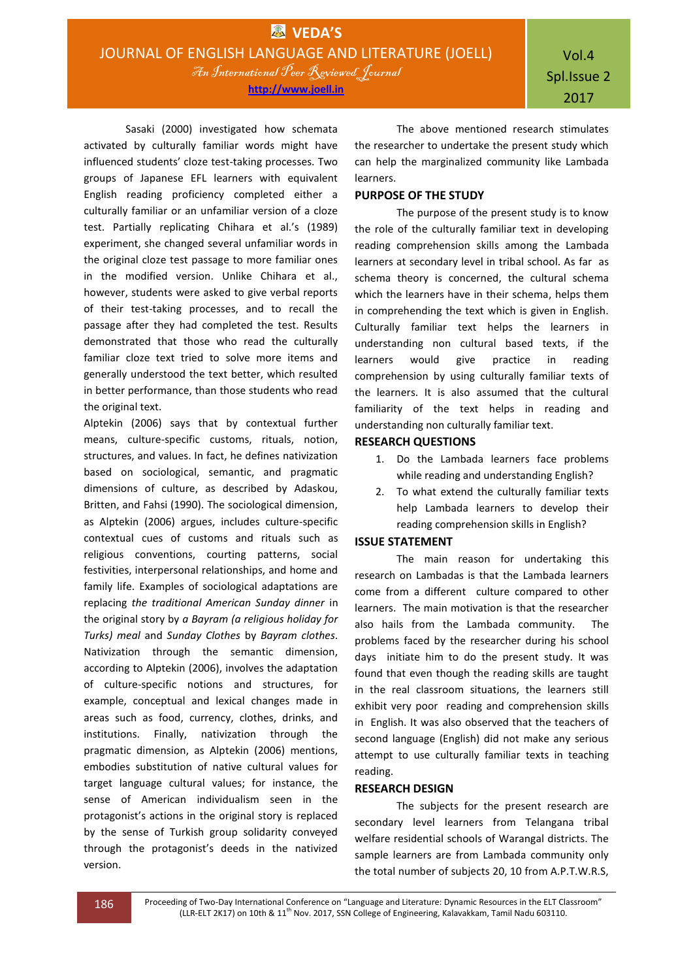**http://www.joell.in**

Sasaki (2000) investigated how schemata activated by culturally familiar words might have influenced students' cloze test-taking processes. Two groups of Japanese EFL learners with equivalent English reading proficiency completed either a culturally familiar or an unfamiliar version of a cloze test. Partially replicating Chihara et al.'s (1989) experiment, she changed several unfamiliar words in the original cloze test passage to more familiar ones in the modified version. Unlike Chihara et al., however, students were asked to give verbal reports of their test-taking processes, and to recall the passage after they had completed the test. Results demonstrated that those who read the culturally familiar cloze text tried to solve more items and generally understood the text better, which resulted in better performance, than those students who read the original text.

Alptekin (2006) says that by contextual further means, culture-specific customs, rituals, notion, structures, and values. In fact, he defines nativization based on sociological, semantic, and pragmatic dimensions of culture, as described by Adaskou, Britten, and Fahsi (1990). The sociological dimension, as Alptekin (2006) argues, includes culture-specific contextual cues of customs and rituals such as religious conventions, courting patterns, social festivities, interpersonal relationships, and home and family life. Examples of sociological adaptations are replacing *the traditional American Sunday dinner* in the original story by *a Bayram (a religious holiday for Turks) meal* and *Sunday Clothes* by *Bayram clothes*. Nativization through the semantic dimension, according to Alptekin (2006), involves the adaptation of culture-specific notions and structures, for example, conceptual and lexical changes made in areas such as food, currency, clothes, drinks, and institutions. Finally, nativization through the pragmatic dimension, as Alptekin (2006) mentions, embodies substitution of native cultural values for target language cultural values; for instance, the sense of American individualism seen in the protagonist's actions in the original story is replaced by the sense of Turkish group solidarity conveyed through the protagonist's deeds in the nativized version.

The above mentioned research stimulates the researcher to undertake the present study which can help the marginalized community like Lambada learners.

## **PURPOSE OF THE STUDY**

The purpose of the present study is to know the role of the culturally familiar text in developing reading comprehension skills among the Lambada learners at secondary level in tribal school. As far as schema theory is concerned, the cultural schema which the learners have in their schema, helps them in comprehending the text which is given in English. Culturally familiar text helps the learners in understanding non cultural based texts, if the learners would give practice in reading comprehension by using culturally familiar texts of the learners. It is also assumed that the cultural familiarity of the text helps in reading and understanding non culturally familiar text.

## **RESEARCH QUESTIONS**

- 1. Do the Lambada learners face problems while reading and understanding English?
- 2. To what extend the culturally familiar texts help Lambada learners to develop their reading comprehension skills in English?

## **ISSUE STATEMENT**

The main reason for undertaking this research on Lambadas is that the Lambada learners come from a different culture compared to other learners. The main motivation is that the researcher also hails from the Lambada community. The problems faced by the researcher during his school days initiate him to do the present study. It was found that even though the reading skills are taught in the real classroom situations, the learners still exhibit very poor reading and comprehension skills in English. It was also observed that the teachers of second language (English) did not make any serious attempt to use culturally familiar texts in teaching reading.

#### **RESEARCH DESIGN**

The subjects for the present research are secondary level learners from Telangana tribal welfare residential schools of Warangal districts. The sample learners are from Lambada community only the total number of subjects 20, 10 from A.P.T.W.R.S,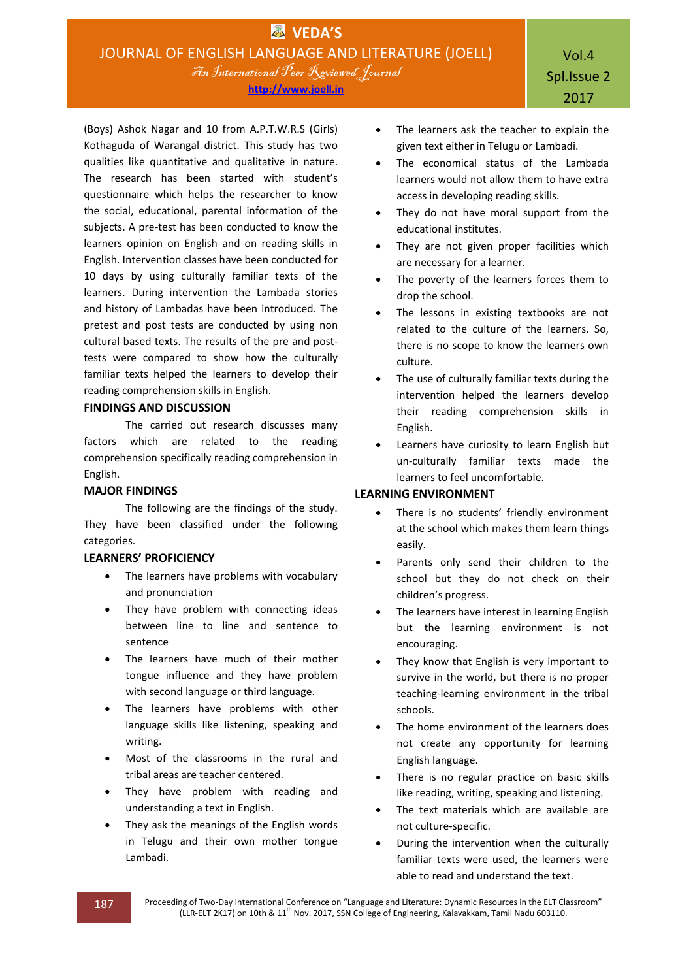**http://www.joell.in**

(Boys) Ashok Nagar and 10 from A.P.T.W.R.S (Girls) Kothaguda of Warangal district. This study has two qualities like quantitative and qualitative in nature. The research has been started with student's questionnaire which helps the researcher to know the social, educational, parental information of the subjects. A pre-test has been conducted to know the learners opinion on English and on reading skills in English. Intervention classes have been conducted for 10 days by using culturally familiar texts of the learners. During intervention the Lambada stories and history of Lambadas have been introduced. The pretest and post tests are conducted by using non cultural based texts. The results of the pre and posttests were compared to show how the culturally familiar texts helped the learners to develop their reading comprehension skills in English.

## **FINDINGS AND DISCUSSION**

The carried out research discusses many factors which are related to the reading comprehension specifically reading comprehension in English.

## **MAJOR FINDINGS**

The following are the findings of the study. They have been classified under the following categories.

## **LEARNERS' PROFICIENCY**

- The learners have problems with vocabulary and pronunciation
- They have problem with connecting ideas between line to line and sentence to sentence
- The learners have much of their mother tongue influence and they have problem with second language or third language.
- The learners have problems with other language skills like listening, speaking and writing.
- Most of the classrooms in the rural and tribal areas are teacher centered.
- They have problem with reading and understanding a text in English.
- They ask the meanings of the English words in Telugu and their own mother tongue Lambadi.
- The learners ask the teacher to explain the given text either in Telugu or Lambadi.
- The economical status of the Lambada learners would not allow them to have extra access in developing reading skills.
- They do not have moral support from the educational institutes.
- They are not given proper facilities which are necessary for a learner.
- The poverty of the learners forces them to drop the school.
- The lessons in existing textbooks are not related to the culture of the learners. So, there is no scope to know the learners own culture.
- The use of culturally familiar texts during the intervention helped the learners develop their reading comprehension skills in English.
- Learners have curiosity to learn English but un-culturally familiar texts made the learners to feel uncomfortable.

## **LEARNING ENVIRONMENT**

- There is no students' friendly environment at the school which makes them learn things easily.
- Parents only send their children to the school but they do not check on their children's progress.
- The learners have interest in learning English but the learning environment is not encouraging.
- They know that English is very important to survive in the world, but there is no proper teaching-learning environment in the tribal schools.
- The home environment of the learners does not create any opportunity for learning English language.
- There is no regular practice on basic skills like reading, writing, speaking and listening.
- The text materials which are available are not culture-specific.
- During the intervention when the culturally familiar texts were used, the learners were able to read and understand the text.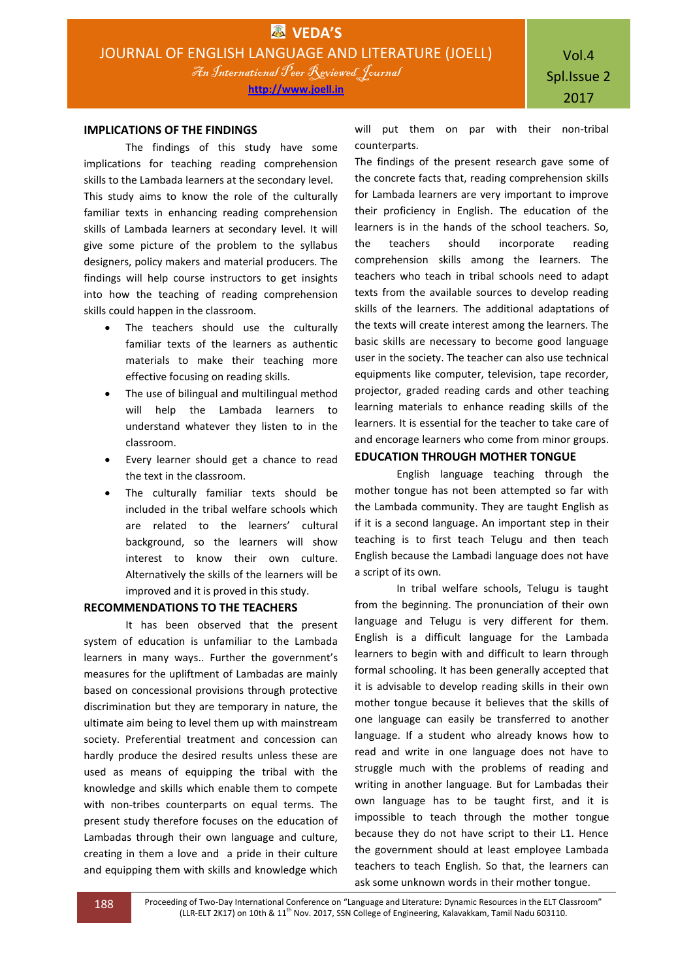#### **IMPLICATIONS OF THE FINDINGS**

The findings of this study have some implications for teaching reading comprehension skills to the Lambada learners at the secondary level. This study aims to know the role of the culturally familiar texts in enhancing reading comprehension skills of Lambada learners at secondary level. It will give some picture of the problem to the syllabus designers, policy makers and material producers. The findings will help course instructors to get insights into how the teaching of reading comprehension skills could happen in the classroom.

- The teachers should use the culturally familiar texts of the learners as authentic materials to make their teaching more effective focusing on reading skills.
- The use of bilingual and multilingual method will help the Lambada learners to understand whatever they listen to in the classroom.
- Every learner should get a chance to read the text in the classroom.
- The culturally familiar texts should be included in the tribal welfare schools which are related to the learners' cultural background, so the learners will show interest to know their own culture. Alternatively the skills of the learners will be improved and it is proved in this study.

## **RECOMMENDATIONS TO THE TEACHERS**

It has been observed that the present system of education is unfamiliar to the Lambada learners in many ways.. Further the government's measures for the upliftment of Lambadas are mainly based on concessional provisions through protective discrimination but they are temporary in nature, the ultimate aim being to level them up with mainstream society. Preferential treatment and concession can hardly produce the desired results unless these are used as means of equipping the tribal with the knowledge and skills which enable them to compete with non-tribes counterparts on equal terms. The present study therefore focuses on the education of Lambadas through their own language and culture, creating in them a love and a pride in their culture and equipping them with skills and knowledge which

will put them on par with their non-tribal counterparts.

The findings of the present research gave some of the concrete facts that, reading comprehension skills for Lambada learners are very important to improve their proficiency in English. The education of the learners is in the hands of the school teachers. So, the teachers should incorporate reading comprehension skills among the learners. The teachers who teach in tribal schools need to adapt texts from the available sources to develop reading skills of the learners. The additional adaptations of the texts will create interest among the learners. The basic skills are necessary to become good language user in the society. The teacher can also use technical equipments like computer, television, tape recorder, projector, graded reading cards and other teaching learning materials to enhance reading skills of the learners. It is essential for the teacher to take care of and encorage learners who come from minor groups.

## **EDUCATION THROUGH MOTHER TONGUE**

English language teaching through the mother tongue has not been attempted so far with the Lambada community. They are taught English as if it is a second language. An important step in their teaching is to first teach Telugu and then teach English because the Lambadi language does not have a script of its own.

In tribal welfare schools, Telugu is taught from the beginning. The pronunciation of their own language and Telugu is very different for them. English is a difficult language for the Lambada learners to begin with and difficult to learn through formal schooling. It has been generally accepted that it is advisable to develop reading skills in their own mother tongue because it believes that the skills of one language can easily be transferred to another language. If a student who already knows how to read and write in one language does not have to struggle much with the problems of reading and writing in another language. But for Lambadas their own language has to be taught first, and it is impossible to teach through the mother tongue because they do not have script to their L1. Hence the government should at least employee Lambada teachers to teach English. So that, the learners can ask some unknown words in their mother tongue.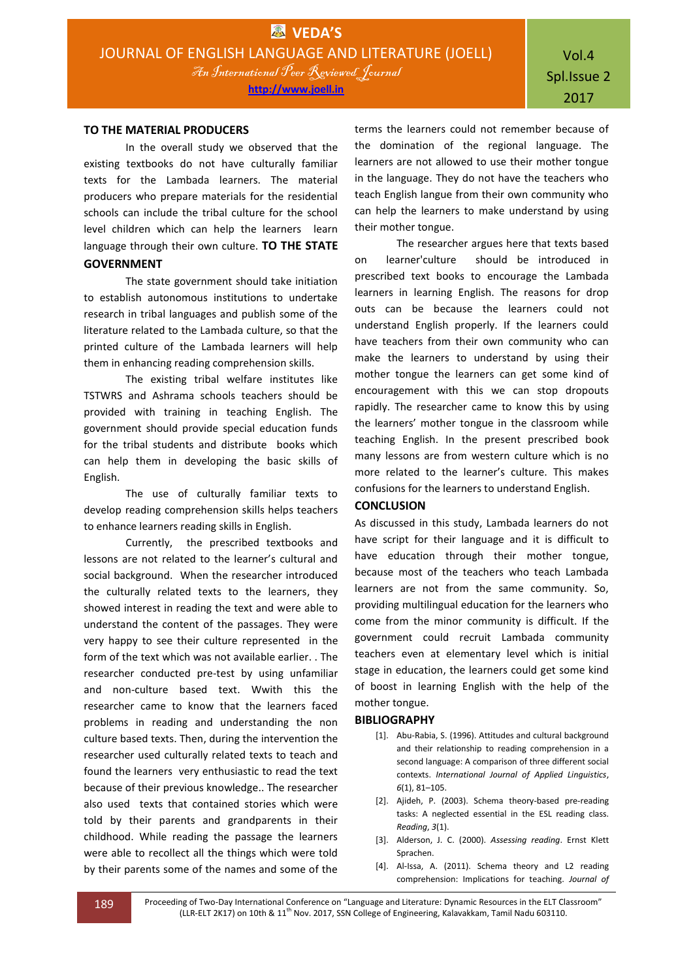#### **TO THE MATERIAL PRODUCERS**

In the overall study we observed that the existing textbooks do not have culturally familiar texts for the Lambada learners. The material producers who prepare materials for the residential schools can include the tribal culture for the school level children which can help the learners learn language through their own culture. **TO THE STATE GOVERNMENT**

The state government should take initiation to establish autonomous institutions to undertake research in tribal languages and publish some of the literature related to the Lambada culture, so that the printed culture of the Lambada learners will help them in enhancing reading comprehension skills.

The existing tribal welfare institutes like TSTWRS and Ashrama schools teachers should be provided with training in teaching English. The government should provide special education funds for the tribal students and distribute books which can help them in developing the basic skills of English.

The use of culturally familiar texts to develop reading comprehension skills helps teachers to enhance learners reading skills in English.

Currently, the prescribed textbooks and lessons are not related to the learner's cultural and social background. When the researcher introduced the culturally related texts to the learners, they showed interest in reading the text and were able to understand the content of the passages. They were very happy to see their culture represented in the form of the text which was not available earlier. . The researcher conducted pre-test by using unfamiliar and non-culture based text. Wwith this the researcher came to know that the learners faced problems in reading and understanding the non culture based texts. Then, during the intervention the researcher used culturally related texts to teach and found the learners very enthusiastic to read the text because of their previous knowledge.. The researcher also used texts that contained stories which were told by their parents and grandparents in their childhood. While reading the passage the learners were able to recollect all the things which were told by their parents some of the names and some of the

terms the learners could not remember because of the domination of the regional language. The learners are not allowed to use their mother tongue in the language. They do not have the teachers who teach English langue from their own community who can help the learners to make understand by using their mother tongue.

The researcher argues here that texts based on learner'culture should be introduced in prescribed text books to encourage the Lambada learners in learning English. The reasons for drop outs can be because the learners could not understand English properly. If the learners could have teachers from their own community who can make the learners to understand by using their mother tongue the learners can get some kind of encouragement with this we can stop dropouts rapidly. The researcher came to know this by using the learners' mother tongue in the classroom while teaching English. In the present prescribed book many lessons are from western culture which is no more related to the learner's culture. This makes confusions for the learners to understand English.

#### **CONCLUSION**

As discussed in this study, Lambada learners do not have script for their language and it is difficult to have education through their mother tongue, because most of the teachers who teach Lambada learners are not from the same community. So, providing multilingual education for the learners who come from the minor community is difficult. If the government could recruit Lambada community teachers even at elementary level which is initial stage in education, the learners could get some kind of boost in learning English with the help of the mother tongue.

#### **BIBLIOGRAPHY**

- [1]. Abu-Rabia, S. (1996). Attitudes and cultural background and their relationship to reading comprehension in a second language: A comparison of three different social contexts. *International Journal of Applied Linguistics*, *6*(1), 81–105.
- [2]. Ajideh, P. (2003). Schema theory-based pre-reading tasks: A neglected essential in the ESL reading class. *Reading*, *3*(1).
- [3]. Alderson, J. C. (2000). *Assessing reading*. Ernst Klett Sprachen.
- [4]. Al-Issa, A. (2011). Schema theory and L2 reading comprehension: Implications for teaching. *Journal of*